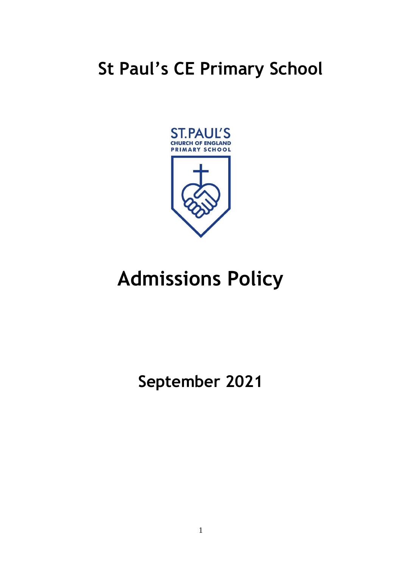# **St Paul's CE Primary School**



# **Admissions Policy**

**September 2021**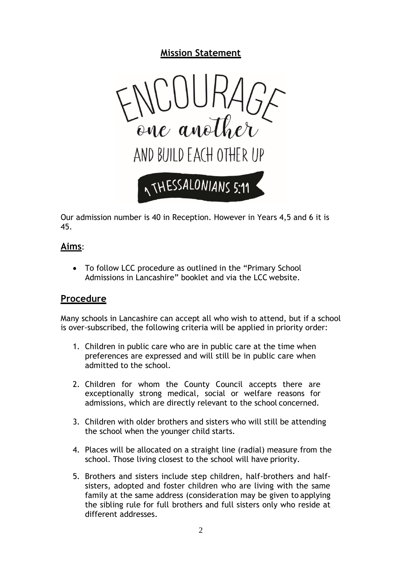# **Mission Statement**



Our admission number is 40 in Reception. However in Years 4,5 and 6 it is 45.

## **Aims**:

• To follow LCC procedure as outlined in the "Primary School Admissions in Lancashire" booklet and via the LCC website.

### **Procedure**

Many schools in Lancashire can accept all who wish to attend, but if a school is over-subscribed, the following criteria will be applied in priority order:

- 1. Children in public care who are in public care at the time when preferences are expressed and will still be in public care when admitted to the school.
- 2. Children for whom the County Council accepts there are exceptionally strong medical, social or welfare reasons for admissions, which are directly relevant to the school concerned.
- 3. Children with older brothers and sisters who will still be attending the school when the younger child starts.
- 4. Places will be allocated on a straight line (radial) measure from the school. Those living closest to the school will have priority.
- 5. Brothers and sisters include step children, half-brothers and halfsisters, adopted and foster children who are living with the same family at the same address (consideration may be given to applying the sibling rule for full brothers and full sisters only who reside at different addresses.